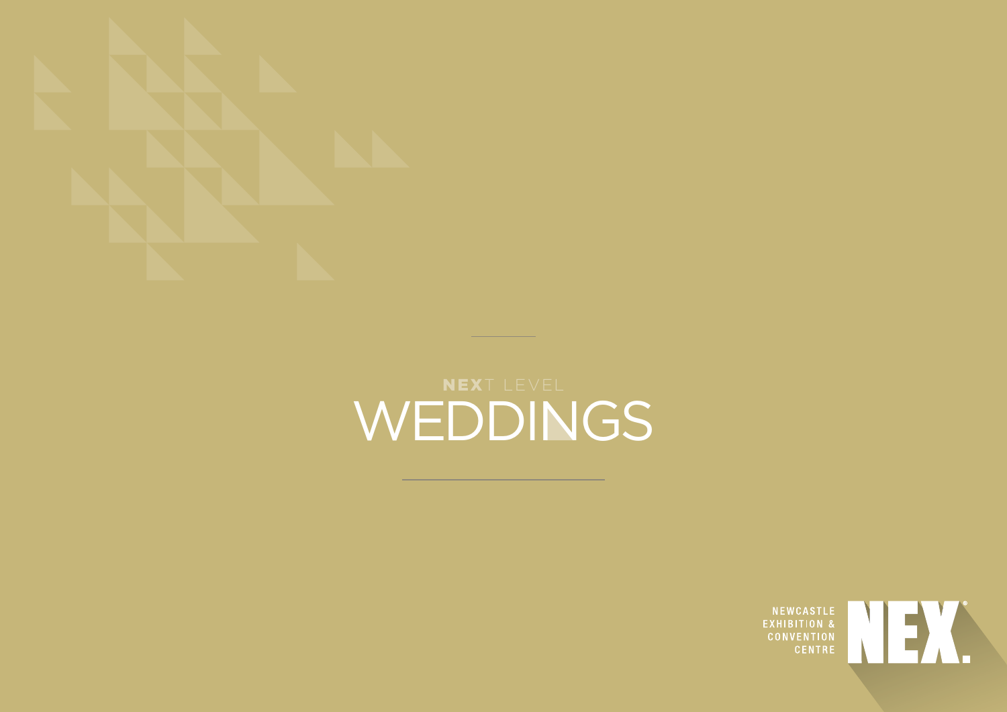

## NEXT LEVEL WEDDINGS

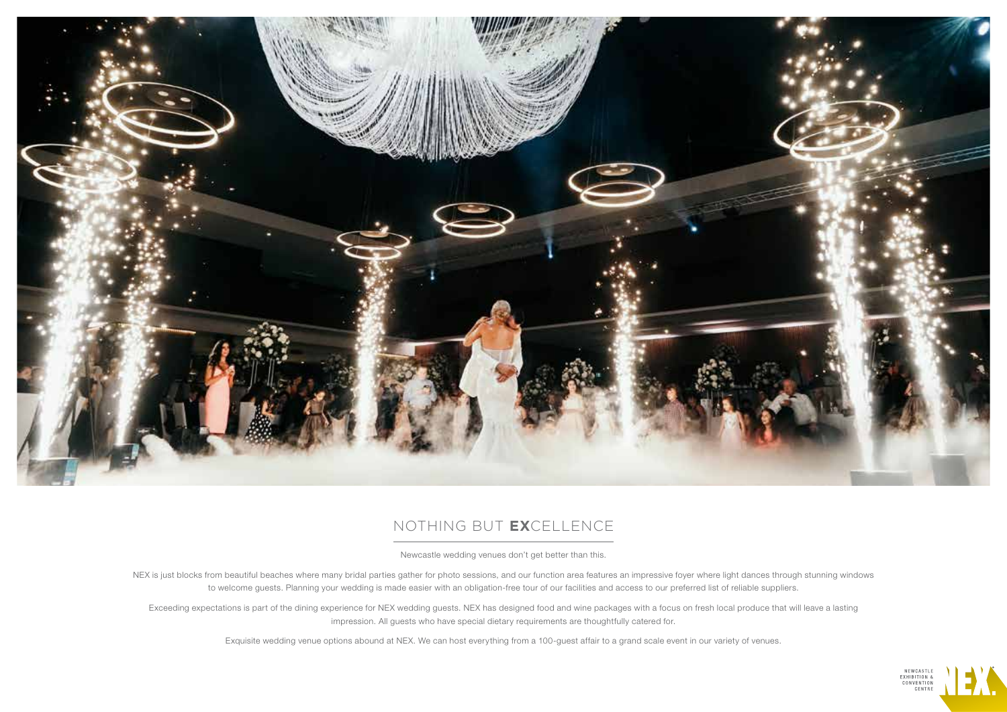

## NOTHING BUT **EX**CELLENCE

Newcastle wedding venues don't get better than this.

NEX is just blocks from beautiful beaches where many bridal parties gather for photo sessions, and our function area features an impressive foyer where light dances through stunning windows to welcome guests. Planning your wedding is made easier with an obligation-free tour of our facilities and access to our preferred list of reliable suppliers.

Exceeding expectations is part of the dining experience for NEX wedding guests. NEX has designed food and wine packages with a focus on fresh local produce that will leave a lasting impression. All guests who have special dietary requirements are thoughtfully catered for.

Exquisite wedding venue options abound at NEX. We can host everything from a 100-guest affair to a grand scale event in our variety of venues.